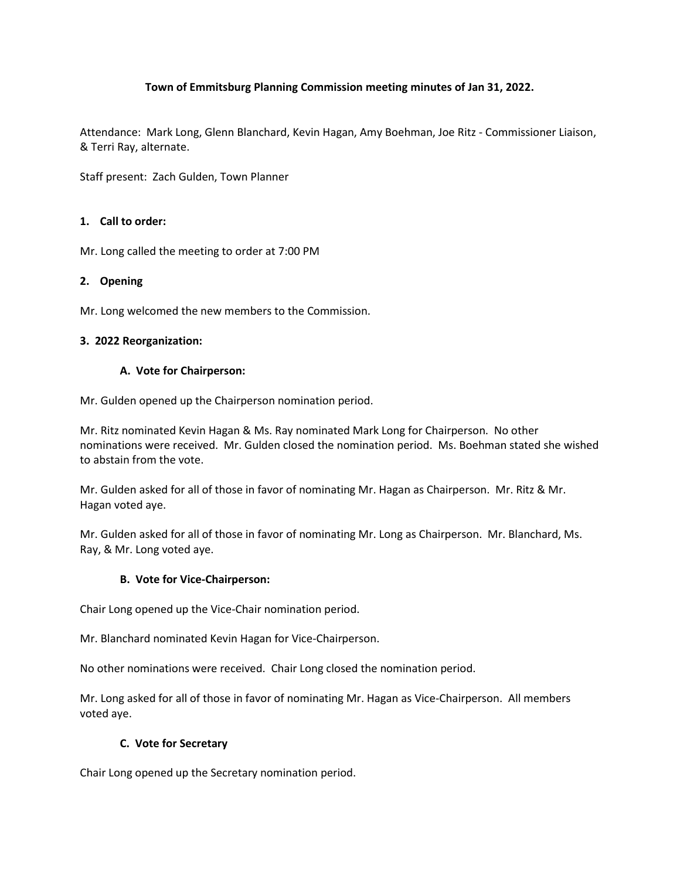# **Town of Emmitsburg Planning Commission meeting minutes of Jan 31, 2022.**

Attendance: Mark Long, Glenn Blanchard, Kevin Hagan, Amy Boehman, Joe Ritz - Commissioner Liaison, & Terri Ray, alternate.

Staff present: Zach Gulden, Town Planner

## **1. Call to order:**

Mr. Long called the meeting to order at 7:00 PM

## **2. Opening**

Mr. Long welcomed the new members to the Commission.

### **3. 2022 Reorganization:**

### **A. Vote for Chairperson:**

Mr. Gulden opened up the Chairperson nomination period.

Mr. Ritz nominated Kevin Hagan & Ms. Ray nominated Mark Long for Chairperson. No other nominations were received. Mr. Gulden closed the nomination period. Ms. Boehman stated she wished to abstain from the vote.

Mr. Gulden asked for all of those in favor of nominating Mr. Hagan as Chairperson. Mr. Ritz & Mr. Hagan voted aye.

Mr. Gulden asked for all of those in favor of nominating Mr. Long as Chairperson. Mr. Blanchard, Ms. Ray, & Mr. Long voted aye.

## **B. Vote for Vice-Chairperson:**

Chair Long opened up the Vice-Chair nomination period.

Mr. Blanchard nominated Kevin Hagan for Vice-Chairperson.

No other nominations were received. Chair Long closed the nomination period.

Mr. Long asked for all of those in favor of nominating Mr. Hagan as Vice-Chairperson. All members voted aye.

## **C. Vote for Secretary**

Chair Long opened up the Secretary nomination period.